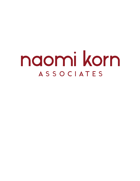# naomi korn **ASSOCIATES**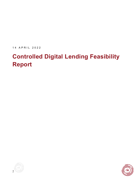1 4 APRIL 2022

# **Controlled Digital Lending Feasibility Report**



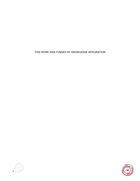THIS WORK WAS FUNDED BY KNOWLEDGE INTEGRATION



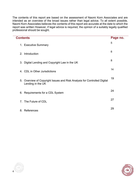The contents of this report are based on the assessment of Naomi Korn Associates and are intended as an overview of the broad issues rather than legal advice. To all extent possible, Naomi Korn Associates believes the contents of this report are accurate at the date to which the report was written However, if legal advice is required, the opinion of a suitably legally qualified professional should be sought.

| <b>Contents</b>                                                                               | Page no. |
|-----------------------------------------------------------------------------------------------|----------|
| 1. Executive Summary                                                                          | 5        |
| Introduction<br>2.                                                                            | 6        |
| 3. Digital Lending and Copyright Law in the UK                                                | 8        |
| 4. CDL in Other Jurisdictions                                                                 | 14       |
| 5. Overview of Copyright Issues and Risk Analysis for Controlled Digital<br>Lending in the UK | 19       |
| 6. Requirements for a CDL System                                                              | 24       |
| The Future of CDL<br>$7_{\scriptscriptstyle{\sim}}$                                           | 27       |
| 8. References                                                                                 | 29       |



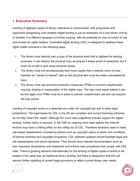### **1. Executive Summary**

Lending of digitised copies of library collections is controversial, with proponents and opponents disagreeing over whether digital lending is just an extension of a core library activity or whether it is different because it involves copying, with the potential for loss of control of use and income for rights holders. Controlled digital lending (CDL) is designed to address these rights holder concerns in the following ways.

- 1. The library must lawfully own a copy of the physical work that is digitised for lending purposes. It can destroy the physical copy as long as it keeps proof of ownership, but it must not re-sell or give away physical copies.
- 2. The library must not simultaneously lend more copies than it lawfully owns (it must maintain an "owned to loaned" ratio so the physical item must be made unavailable for loan).
- 3. The library must use technical protection measures (TPMs) to prevent unauthorised copying, sharing or manipulation of the digital copy. The loan must expire before it can be lent again and TPMs must be in place to prevent unauthorised use and use beyond the loan period.

Lending of copyright works is a restricted act under UK copyright law and in other legal jurisdictions. The legal bases for CDL in the UK are uncertain and current licensing schemes do not fully meet CDL needs. Although EU court case judgments indicate support for digital lending, further clarity is required. In the USA an ongoing court case against the Internet Archive may have a chilling effect on the rolling out of CDL. Therefore librarians need to make risk-based assessments considering factors such as copyright status or works and conditions of licence schemes and copyright exceptions. CDL software systems should facilitate legal and risk assessments and record decisions. They should store relevant documentation such as loan requester declarations and implement and enforce loan procedures that comply with CDL rules. There is growing demand internationally for the lending of digital copies of works to be treated in the same way as traditional library lending, but there is recognition that this will require further updating of current legal provisions to reflect current library user needs.



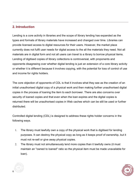# **2. Introduction**

Lending is a core activity in libraries and the scope of library lending has expanded as the types and formats of library materials have increased and changed over time. Libraries can provide licensed access to digital resources for their users. However, the market place currently does not fulfil user needs for digital access to the all the materials they need. Not all materials are in digital form and not all users can travel to a library to borrow physical items. Lending of digitised copies of library collections is controversial, with proponents and opponents disagreeing over whether digital lending is just an extension of a core library activity or whether it is different because it involves copying, with the potential for loss of control of use and income for rights holders.

The core objection of opponents of CDL is that it involves what they see as the creation of an initial unauthorised digital copy of a physical work and then making further unauthorised digital copies in the process of loaning the item to each borrower. There are also concerns over security of loaned copies and that even when the loan expires and the digital copies is returned there will be unauthorised copies in Web caches which can be still be used or further distributed.

Controlled digital lending (CDL) is designed to address these rights holder concerns in the following ways.

- 1. The library must lawfully own a copy of the physical work that is digitised for lending purposes. It can destroy the physical copy as long as it keeps proof of ownership, but it must not re-sell or give away physical copies.
- 2. The library must not simultaneously lend more copies than it lawfully owns (it must maintain an "owned to loaned" ratio so the physical item must be made unavailable for loan).



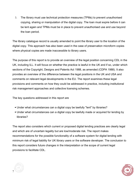3. The library must use technical protection measures (TPMs) to prevent unauthorised copying, sharing or manipulation of the digital copy. The loan must expire before it can be lent again and TPMs must be in place to prevent unauthorised use and use beyond the loan period.

The library catalogue record is usually amended to point the library user to the location of the digital copy. This approach has also been used in the case of preservation microform copies where physical copies are made inaccessible to library users.

The purpose of this report is to provide an overview of the legal position concerning CDL in the UK, including ILL. It will focus on whether the practice is lawful in the UK and if so, under which sections of the Copyright, Designs and Patents Act 1988, as amended (CDPA 1988). It also provides an overview of the difference between the legal positions in the UK and USA and comments on relevant legal developments in the EU. The report examines these legal provisions and comments on how they could be addressed in practice, including institutional risk management approaches and collective licensing schemes.

The key questions addressed in this report are

- Under what circumstances can a digital copy be lawfully "lent" by libraries?
- Under what circumstances can a digital copy be lawfully made or acquired for lending by libraries?

The report also considers which current or proposed digital lending practices are clearly legal and which are of uncertain legality but are low/moderate risk. The report makes recommendations for the possible functionality of a software system for digital lending with minimum risk of legal liability for UK library users or the software developer. The conclusion to this report considers future changes in the interpretation or the scope of current legal provisions to facilitate CDL.



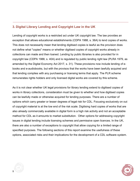# **3. Digital Library Lending and Copyright Law in the UK**

Lending of copyright works is a restricted act under UK copyright law. The law provides an exception that allows educational establishments (CDPA 1988, s. 36A) to lend copies of works. This does not necessarily mean that lending digitised copies is lawful as the provision does not define what "copies" means or whether digitised copies of copyright works already in collections can made and then loaned. Lending by public libraries is also provided for in copyright law (CDPA 1988, s. 40A) and is regulated by public lending right law (PLRA 1979, as amended by the Digital Economy Act 2017, s. 31). These provisions now include lending of ebooks and e-audiobooks, but with the provisos that the works have been lawfully acquired and that lending complies with any purchasing or licensing terms that apply. The PLR scheme remunerates rights holders and only licensed digital works are covered by this scheme.

As it is not clear whether UK legal provisions for library lending extend to digitised copies of works in library collections, consideration must be given to whether and how digitised copies can be lawfully made or otherwise acquired for lending purposes. There are a number of options which carry greater or lesser degrees of legal risk for CDL. Focusing exclusively on out of copyright material is at the low end of the risk scale. Digitising hard copies of works that are also already commercially available in digital form is a high risk activity and not an acceptable method for CDL as it amounts to market substitution. Other options for addressing copyright issues in digital lending include licensing schemes and permissive open licences. In the UK, there are also a number of exceptions to copyright that allow copying for a limited range of specified purposes. The following sections of this report examine the usefulness of these options, associated risks and their implications for the development of a CDL software system.



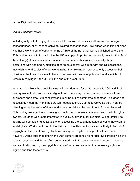#### Lawful Digitised Copies for Lending

#### *Out of Copyright Works*

Including only out of copyright works in CDL is a low risk activity as there will be no legal consequences, or at least no copyright-related consequences. Risk arises when it is not clear whether a work is out of copyright or not. A rule of thumb is that works published before the 20th century are out of copyright in the UK as copyright protection generally lasts for the life of the author(s) plus seventy years. Academic and research libraries, especially those in institutions with arts and humanities departments and/or with important special collections, may wish to lend copies of older works rather than relying on reference only access to their physical collections. Care would have to be taken with some unpublished works which will remain in copyright in the UK until the end of the year 2039.

However, it is likely that most libraries will have demand for digital access to 20th and 21st century works that do not exist in digital form. There may be no commercial interest from publishers and some 20th century works may be out-of-commerce altogether. This does not necessarily mean that rights holders will not object to CDL of these works as they might be planning to market some of these works commercially in the near future. Another issue with 20th century works is that increasingly complex forms of work developed with multiple rights owners. Libraries with users interested in audiovisual works, for example, will potentially be dealing with complex rights issues when assessing the copyright status of works they wish to lend digitally. Works published in the first half of the 20th century are more likely to be out of copyright so the risk of any legal actions arising from digital lending is low to medium. However, works published later in the 20th century present a higher risk. So libraries will have balance user demand for late 20th century works with the complexity and potential expense involved in discovering the copyright status of work. and securing the necessary rights to digitise and lend these works.



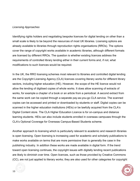#### *Licensing Approaches*

Identifying rights holders and negotiating bespoke licences for digital lending on other than a small scale is likely to be beyond the resources of most UK libraries. Licensing options are already available to libraries through reproduction rights organisations (RROs). The options cover the range of copyright works available in academic libraries, although different formats are licensed by different RROs. The question is whether existing licences address the requirements of controlled library lending either in their current forms and, if not, what modifications to such licences would be required.

In the UK, the RRO licensing schemes most relevant to libraries and controlled digital lending are the Copyright Licensing Agency (CLA) licences covering literary works for different library sectors, including higher education (HE). However, the scope of the HE licence would not allow the lending of digitised copies of whole works. It does allow scanning of extracts of works, for example a chapter of a book or an article from a periodical. A second extract from the same work can be copied through a separate pay-as-you-go CLA service. The scanned copies can be accessed and printed or downloaded by students or staff. Digital copies can be scanned in the higher education institutions (HEIs) or be lawfully acquired from the CLA's Digital Content store. The CLA Higher Education Licence is for on-campus and distance learning students. HEIs can also include students enrolled in overseas campuses through the CLA's Optional Coverage for Overseas Campus-Based Students scheme.

Another approach to licensing which is particularly relevant to academic and research libraries is open licensing. Open licensing is increasing used for academic and scholarly publications to make works available on terms that are more permissive than is generally the case in the publishing industry. In addition these works are made available in digital form. If the trend toward open licensing continues, the copyright issues with digitally lending recent publications are likely to diminish over time. Open licences, such as those provided by Creative Commons (CC), are not just applied to literary works; they are also used for other categories for copyright



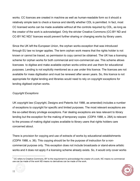works. CC licences are created in machine as well as human-readable form so it should a relatively simple task to check a licence and identify whether CDL is permitted. In fact, most CC licensed works can be made available without all the controls required by CDL, as long as the creator of the work is acknowledged. Only the stricter Creative Commons (CC-BY ND and CC-BY NC ND)<sup>1</sup> licences would prevent further sharing or changing works by library users.

Since the UK left the European Union, the orphan works exception that was introduced through EU law no longer applies. The term orphan work means that the rights holder is not known or cannot be traced, so permission to copy cannot be obtained. The UK has a licensing scheme for orphan works for both commercial and non-commercial use. This scheme allows licencees to digitise and make available orphan works online and use them for educational purposes. Lending is not explicitly mentioned as a use under this licence. The licences are not available for mass digitisation and must be renewed after seven years. So, this licence is not appropriate for digital lending and libraries would need to rely on copyright exceptions for lending digitised orphan works.

#### *Copyright Exceptions*

UK copyright law (Copyright, Designs and Patents Act 1988, as amended) includes a number of exceptions to copyright for specific and limited purposes. The most relevant exceptions are the so-called library privilege exceptions. Fair dealing exceptions are less relevant to library lending but the exception for the making of temporary copies (CDPA 1988, s. 28A) is relevant to the process of making digital copies available to library users that rights holders care concerned about.

There is provision for copying and use of extracts of works by educational establishments (CDPA 1988, s. 36). This copying should be for the purpose of instruction for a noncommercial purpose only. This exception does not include broadcasts or stand-alone artistic works and it does not apply if a licensing scheme already exists. So, it would only cover works

 $1$  CC refers to Creative Commons, BY to the requirement to acknowledge the creator of a work, NC means no commercial use can be made of the work ND means no derivatives can be made of the work.



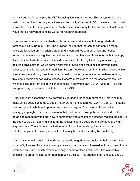not included in, for example, the CLA licensing licensing schemes. This exception is more restrictive than the CLA copying allowances as it only allows up to 5% of a work to be copied across the institution in any one year. As the exception is only for the purposes of instruction, it would not be relevant to lending works for research purposes.

Libraries and educational establishments can make works available through dedicated terminals (CDPA 1988, s. 40B). The provisos include that the copies can only be made available for research and private study and in compliance with purchase and licence terms. In the case of a digitised copy, there are no purchase and licence terms but the copy itself must be lawfully acquired. It could be assumed that a digitised copy of a lawfully acquired physical work would comply with this proviso since the aim is to provide digital access, but this is not certain. In addition, the term "dedicated terminal" implies access within library premises although such terminals could conceivably be located elsewhere. Although this legal provision allows digital access, it seems more akin to "on the spot reference use", which is excluded from the definition of lending in copyright law (CDPA 1988, 18A). So this exception may be of some, but limited, use for CDL.

Other copyright exceptions allow copying by librarians for certain purposes. Librarians may make single copies of items to supply to other, non-profit, libraries (CDPA 1988, s. 41). Items can be copied in whole or in part in response to a request from another library without infringing copyright. There is a proviso in that the librarian making the copy should not know, or be able to reasonably find out, how to contact the rights holder to authorise making the copy. If the copy could be made in digital form the receiving library could potentially have a lawfully acquired copy. There is no explicit statement of what the receiving library can or cannot do with their copy, so this exception could potentially be used for lending by that library.

Librarians can make copies of works to replace damaged or lost copies in their own or other, non-profit, libraries. This provision only covers works that are not loaned to library users, that is reference only, not publicly available or only loaned to other institutions. The aim of this exception is preservation rather than increasing access. This suggests that the copy should



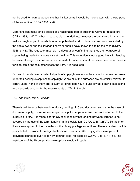not be used for loan purposes in either institution as it would be inconsistent with the purpose of the exception (CDPA 1988, s. 42).

Librarians can make single copies of a reasonable part of published works for requesters CDPA 1988, s. 42A). What is reasonable is not defined, however the law allows librarians to make a single copy of the whole of an unpublished work, unless this has been prohibited by the rights owner and the librarian knows or should have known this to be the case (CDPA 1988, s. 43). The requester must sign a declaration confirming that they are not aware of copies being made for anyone else at the time. This exception is not a good basis for lending because although only one copy can be made for one person at the same time, as is the case for loan items, the requester keeps the item. It is not a loan.

Copies of the whole or substantial parts of copyright works can be made for certain purposes under fair dealing exceptions to copyright. While all of the purposes are potentially relevant to library users, none of them are relevant to library lending. It is unlikely fair dealing exceptions would provide a basis for the requirements of CDL in the UK.

#### *CDL and Inter-Library Lending*

There is a difference between inter-library lending (ILL) and document supply. In the case of document supply, the requester keeps the supplied copy whereas loans are returned to the supplying library. It is made clear in UK copyright law that lending between libraries is not covered by the use of the term "lending" in this legislation (CDPA, s. 18A(2)(b)). So the interlibrary loan system in the UK relies on the library privilege exceptions. There is a view that it is possible to lend works from digital collections because in UK copyright law exceptions to copyright cannot be over-ridden by contract (see, for example CDPA 1988, s. 41 (5)). The restrictions of the library privilege exceptions would still apply.



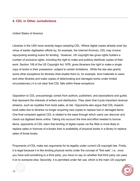## **4. CDL in Other Jurisdictions**

#### *United States of America*

Libraries in the USA have recently begun adopting CDL. Where digital copies already exist (by virtue of earlier digitisation efforts by, for example, the Internet Archive), CDL may involve repurposing existing scans for lending. However, US copyright law gives rights holders a number of exclusive rights, including the right to make and publicly distribute copies of their work. Section 108 of the US Copyright Act 1976, gives librarians the right to make a single copy of works in their possession, subject to certain limitations. While the law also grants some other exceptions for libraries (that enable them to, for example, lend materials to users and other libraries and make copies of deteriorating and damaged works under limited circumstances,) it is not clear that CDL falls within these exceptions.

Opposition to CDL unsurprisingly comes from authors, publishers, and associations and guilds that represent the interests of writers and distributors. They claim that it puts important revenue streams, such as royalties from book sales, at risk. Opponents also argue that CDL impacts book sales due to libraries no longer acquiring new copies to replace lost or damaged items. One final complaint against CDL is related to the ease through which users can discover and check out digitised items online. Taking into account the time and effort needed to borrow items, opponents of CDL claim that lending of digital copies via the Web is more likely to replace sales or licences of e-books than is availability of physical books in a library to replace sales of those books.

Proponents of CDL make two arguments for its legality under current US copyright law. Firstly, it is legal because it is like lending physical works under the concept of "first sale", i.e., once you have sold something to a third party, you have no say on whether that third party can pass it on to someone else. Secondly, it is permitted under fair use, which is the main US copyright



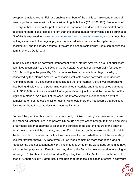exception that is relevant. Fair use enables members of the public to make certain kinds of uses of protected works without permission of rights holders (17 U.S.C. 107). Proponents of CDL argue that it is for not for profit educational purposes and does not cause market harm because no more digital copies are lent than the original number of physical copies purchased. All of this is explained in **WWW.CONTROLLEDDIGITALLENDING.ORG/STATEMENT**, which argues that as long as access to the original physical copies is disabled any time the digital copy is checked out, and the library ensures TPMs are in place to restrict what users can do with the item, then the CDL is legal.

In the key case alleging copyright infringement by the Internet Archive, a group of publishers submitted a complaint to a US District Court in 2020. A portion of the complaint focused on CDL. According to the plaintiffs, CDL is no more than "a manufactured legal paradigm, conceived by the Internet Archive, to cast aside well-established copyright jurisprudence" (Complaint, para. 73). The complainants alleged that the Internet Archive was reproducing, distributing, displaying, and performing copyrighted materials, and they requested damages (up to \$150,000 per instance of willful infringement), an injunction, and the destruction of the digitised materials. As a result of the case, the Internet Archive suspended the activities complained of, but the case is still on-going. We should therefore not assume that traditional libraries will have the same decision made against them.

Some of the permitted fair uses include comment, criticism, quoting in a news report, research and other educational uses, and parody. US courts analyse cases brought to them using using a four-factor test that attempts to balance the purpose of the use, the nature of the original work, how substantial the use was, and the effect of the use on the market for the original. In the last couple of decades, virtually all fair use cases focus on whether or not the secondary use was "transformative". A transformative use "does something more than repackage or republish the original copyrighted work. The inquiry is whether the work 'adds something new, with a further purpose or different character, altering the first with new expression, meaning, or message …'." (Authors Guild v. HathiTrust), quoting Campbell v. Acuff-Rose. In the recent case of Authors Guild v. HathiTrust, it was held that the mass digitisation of entire in-copyright



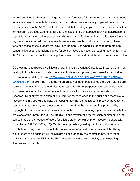works contained in libraries' holdings was a transformative fair use when the scans were used to facilitate search, enable text-mining, and provide access to visually-impaired persons. In an earlier decision in the 5<sup>th</sup> Circuit, that court held that creating copies of entire research articles for research purposes was not a fair use: the institutional, systematic, archival multiplication of copies is not transformative, particularly where a market for the original, in this case a licensing regime for individual articles, is available (American Geophysical Union v. Texaco). Taken together, these cases suggest that CDL may be a fair use when it is done to promote nonconsumptive uses, but making copies for consumptive uses such as reading may not fall under the fair use exemption unless a compelling case can be made that the uses are transformative.

CDL was not anticipated by US lawmakers. The US Copyright Office is well aware that s. 108 relating to libraries is out of date, has stated it wishes to update it, and issued a discussion document on updating its law (HTTPS://WWW.COPYRIGHT.GOV/POLICY/SECTION108/DISCUSSION-DOCUMENT.PDF) in 2017, but it seems no progress has been made since then. US libraries are currently permitted to make and distribute copies for library purposes such as replacement and preservation, and at the request of library users for private study, scholarship, and research. To qualify for the exemptions, libraries must be open to the public or accessible to researchers in a specialised field, the copying must not be motivated, directly or indirectly, by commercial advantage, and a notice must be given that the copied work is protected by copyright. Of particular note, libraries are restricted from distributing digital copies "outside the premises of the library" (17 U.S.C. 108(b)(2)) and "systematic reproduction or distribution" of copies made at the request of users for private study, scholarship, or research is expressly prohibited (17 U.S.C. 108 (g)(2)). While the emphasis against systemic reproduction and distribution arrangements, particularly those occurring "outside the premises of the library" would seem to be against CDL, this might be assuaged by the controlled nature of these activities. Nonetheless, CDL in the USA raise a legitimate risk of liability to participating libraries and consortia.



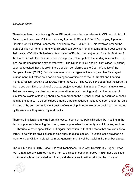#### *European Union*

There have been just a few significant EU court cases that are relevant to CDL and digital ILL. An important case was VOB and Stichting Leenrecht (Case C-174/15 Vereniging Openbare Bibliotheken v Stichting Leenrecht)., decided by the ECJ in 2016. This revolved around the legal definition of "lending" and what libraries can do when lending items in their possession to their users. VOB (the Netherlands Association of Public Libraries) asked for a clarification of the law to see whether this permitted lending could also apply to the lending of e-books. The local courts decided the answer was "yes". The Dutch Public Lending Right Office (Stichting Leenrecht) asked that this preliminary decision be referred to the Court of Justice of the European Union (CJEU). So this case was not one organisation suing another for alleged infringement, but rather both parties asking for clarification of the EU Rental and Lending Rights Directive (Directive 92/100/EC) from the CJEU. The CJEU concluded that the Directive did indeed permit the lending of e-books, subject to certain limitations. These limitations were: that authors are guaranteed some renumeration for such lending; and that the number of simultaneous acts of lending should be no more than the number of lawfully acquired e-books held by the library. It also concluded that the e-books acquired must have been under first sale doctrine or by some other lawful transfer of ownership. In other words, e-books can be treated by libraries as if they were physical books.

There are implications arising from this case. It concerned public libraries, but nothing in the decision prevents the ruling from being used a precedent for other types of libraries, such as HE libraries. A more speculative, but bigger implication, is that all actions that are lawful for a library to do with its physical copies also apply to digital copies. Thus this case provides an argument that CDL and digital ILL more generally might well be lawful in EU member states.

The CJEU ruled in 2015 (Case C-117/13 Technische Universität Darmstadt v Eugen Ulmer KG) that university libraries had the right to digitise in copyright books, make those digitised books available on dedicated terminals, and allow users to either print out the books or



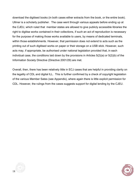download the digitised books (in both cases either extracts from the book, or the entire book). Ullmer is a scholarly publisher. The case went through various appeals before ending up at the CJEU, which ruled that member states are allowed to give publicly accessible libraries the right to digitise works contained in their collections, if such an act of reproduction is necessary for the purpose of making those works available to users, by means of dedicated terminals, within those establishments. However, that permission does not extend to acts such as the printing out of such digitised works on paper or their storage on a USB stick. However, such acts may, if appropriate, be authorised under national legislation provided that, in each individual case, the conditions laid down by the provisions in Articles 5(2)(a) or 5(2)(b) of the Information Society Directive (Directive 2001/29) are met.

Overall, then, there has been relatively little in ECJ cases that are helpful in providing clarity on the legality of CDL and digital ILL. This is further confirmed by a check of copyright legislation of the various Member Sates (see Appendix), where again there is little explicit permission for CDL. However, the rulings from the cases suggests support for digital lending by the CJEU.



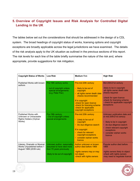# **5. Overview of Copyright Issues and Risk Analysis for Controlled Digital Lending in the UK**

The tables below set out the considerations that should be addressed in the design of a CDL system. The broad headings of copyright status of works, licensing options and copyright exceptions are broadly applicable across the legal jurisdictions we have examined. The details of the risk analysis apply to the UK situation as outlined in the previous sections of this report. The risk levels for each line of the table briefly summarise the nature of the risk and, where appropriate, provide suggestions for risk mitigation.

| <b>Copyright Status of Works</b>                                                       | <b>Low Risk</b>                                                                                                       | <b>Medium Risk</b>                                                                                                                                                                                                                            | <b>High Risk</b>                                                                                                                                                                                                   |
|----------------------------------------------------------------------------------------|-----------------------------------------------------------------------------------------------------------------------|-----------------------------------------------------------------------------------------------------------------------------------------------------------------------------------------------------------------------------------------------|--------------------------------------------------------------------------------------------------------------------------------------------------------------------------------------------------------------------|
| Published Works with known<br>authors                                                  | Pre-19th century works<br>out of copyright unless<br>special arrangements<br>(e.g. Peter Pan)                         | Pre-mid 20th century<br>- likely to be out of<br>copyright<br>all rights owner death date<br>checks recommended<br>If in copyright<br>-check for open licence<br>-check for licensing scheme<br>-check for applicable<br>copyright exceptions | Mid 20th/21st century<br>-likely to be in copyright<br>-all rights owner death date<br>checks required<br>-check for open licence<br>-check for licensing scheme<br>- check for applicable copyright<br>exceptions |
| Published Works with<br>Unknown or Untraceable<br>Rights Holders (Orphan<br>Works)     | Pre-19th century<br>- Out of copyright unless<br>special arrangements                                                 | Pre-mid 20th century<br>- Likely to be out of<br>copyright<br>- Do due diligence search<br>If in copyright<br>- check for relevant<br>copyright exceptions<br>- consider orphan works<br>licence                                              | Unknown publication date and<br>or mid 20th/21st century<br>- likely to be in copyright<br>- do due diligence search<br>- check relevant copyright<br>exceptions<br>- consider orphan works<br>licence             |
| Literary, Dramatic or Musical<br>Works Unpublished before 1<br>August 1989 (2039 rule) | Unknown author, reasonably<br>assumed to have died more<br>than 70 years previously<br>-likely to be out of copyright | Author unknown or known<br>author died before 1969<br>-rights owners may or may<br>not object<br>-check with rights owners                                                                                                                    | Popular author died before<br>1969<br>-rights owners likely to object<br>-check with rights owners<br>-may need to negotiate licence                                                                               |

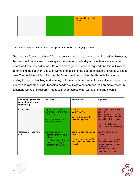|  | -may need to negotiate |  |
|--|------------------------|--|
|  |                        |  |
|  |                        |  |

Table 1 Risk Analysis and Mitigation of Digitisation of Works by Copyright Status

The only risk-free approach to CDL is to only include works that are out of copyright. However, the needs of libraries are increasingly to be able to provide digital, remote access to more recent works in their collections. So a risk-managed approach is required and this will involve determining the copyright status of works and deciding the degree of risk the library is willing to take. The decision will be influenced by factors such as whether the library is focusing on lending to support teaching and learning or for research purposes. It may well also depend on subject and research fields. Teaching needs are likely to be more focused on more recent, in copyright, works and research needs will range across older works and orphan works.

| <b>Licensing Options for</b><br><b>Acquisition of Lawful</b><br><b>Digital Copy</b> | <b>Low Risk</b>                                                                                                                         | <b>Medium Risk</b>                                                                                       | <b>High Risk</b>                                                                                                                                                                   |
|-------------------------------------------------------------------------------------|-----------------------------------------------------------------------------------------------------------------------------------------|----------------------------------------------------------------------------------------------------------|------------------------------------------------------------------------------------------------------------------------------------------------------------------------------------|
| Open Licences                                                                       | e.g. CC0 or CC-BY<br>lawfully applied to print or<br>digital copy<br>-acknowledge author if<br>reasonably possible                      | <b>CC-BY ND</b><br><b>CC-BY NC ND</b><br>-ensure CDL security<br>standards applied                       | Open licence unlawfully<br>applied<br>-e.g. plagiarism or moral<br>rights otherwise infringed<br>(except for CC0 licences)<br>-check rights holder<br>identity (e.g. CLA register) |
| Collective Licence from<br><b>CLA</b>                                               | Digital copies lawful<br>- extracts only of books<br>allowed<br>requires scans of works<br>owned by library to<br>comply with CDL rules | Copyright permission paid<br>copies<br>- do not comply with CDL<br>rules (works not owned by<br>library) | Lending may breach<br>licence<br>-only lend to on campus<br>and distance learners<br>- need separate licences<br>for second<br>extracts and users in<br>overseas campuses          |



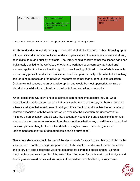Orphan Works Licence **Digital copies lawful** 

-can make available online -can use for educational purposes

Not clear if lending to other libraries is covered by licence

Table 2 Risk Analysis and Mitigation of Digitisation of Works by Licensing Option

If a library decides to include copyright material in their digital lending, the best licensing option is to identify works that are published under an open licence. These works are likely to already be in digital form and publicly available. The library should check whether the licence has been legitimately applied to the work, i.e., whether the work has been correctly attributed and whoever applied the licence has the right to do so. Lending digitised copies of whole works is not currently possible under the CLA licences, so this option is really only suitable for teaching and learning purposes and for individual researchers rather than a general loan collection. Orphan works licences are an expensive option and would be most appropriate for rare or historical material with a high value to the institutional and wider community.

When considering UK copyright exceptions, factors to take into account include: what proportion of a work can be copied; what uses can be made of the copy; is there a licensing scheme available that would prevent relying on the exception; and whether the terms of any contract associated with the work that would over-ride the exception are unenforceable. Reliance on an exception should take into account any conditions and exclusions in terms of what works are covered or excluded from the exception, whether any due diligence is required (for example searching for the contact details of a rights owner or checking whether replacement copies of list of damaged items can be purchased).

These considerations should be part of the risk analysis for sourcing and lending digital copies since the scope of the lending exception needs to be clarified, and current licence schemes and library privilege exceptions were not designed for controlled digital lending. Libraries should collect and retain details of the exception relied upon for each work, legal analysis and due diligence carried out as well as copies of request forms submitted by library users.



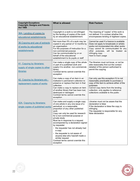| <b>Copyright Exceptions</b><br><b>Copyright, Designs and Patents</b><br><b>Act 1988</b> | <b>What is allowed</b>                                                                                                                                                                                                                                                                                                                                                                                                                                                                                                                   | <b>Risk Factors</b>                                                                                                                                                                                                                                             |
|-----------------------------------------------------------------------------------------|------------------------------------------------------------------------------------------------------------------------------------------------------------------------------------------------------------------------------------------------------------------------------------------------------------------------------------------------------------------------------------------------------------------------------------------------------------------------------------------------------------------------------------------|-----------------------------------------------------------------------------------------------------------------------------------------------------------------------------------------------------------------------------------------------------------------|
| 36A. Lending of copies by<br>educational establishments                                 | Copyright in a work is not infringed<br>by the lending of copies of the work<br>by an educational establishment.                                                                                                                                                                                                                                                                                                                                                                                                                         | The meaning of "copies" of the work is<br>not defined. It is unclear whether this<br>encompasses lending of digitised copies.                                                                                                                                   |
| 36. Copying and use of extracts<br>of works by educational<br>establishments            | Not more than 5% of a work may be<br>copied in any period of 12 months by<br>an organisation<br>For the purposes of instruction for a<br>non-commercial purpose<br>Can be communicated by or on<br>behalf of the educational<br>establishment to its pupils or staff                                                                                                                                                                                                                                                                     | Cannot be used if a licence is available<br>Does not apply to broadcasts or artistic<br>works not incorporated into other works<br>Copy cannot be communicated for any<br>other purposes, will be treated<br>as<br>infringing copy<br>Hard to track usage       |
| 41. Copying by librarians:<br>supply of single copies to other<br>libraries             | Can make a single copy of the whole<br>or part of a published work and<br>supply it to another, non-commercial,<br>library<br>Contract terms cannot override this<br>exception                                                                                                                                                                                                                                                                                                                                                           | The librarian must not know, or not be<br>able reasonably find out the contact<br>detailed of the person authorised to<br>permit the copying                                                                                                                    |
| 42. Copying by librarians etc:<br>replacement copies of works                           | Can make a copy of an item in an<br>institution's permanent collection to<br>preserve or replace that item in that<br>collection.<br>Can make a copy to replace an item<br>of another library that has been lost,<br>destroyed or damaged<br>Contract terms cannot override this<br>exception                                                                                                                                                                                                                                            | Can only use this exception if it is not<br>reasonably practicable to purchase a<br>copy of the item to achieve either of the<br>purposes<br>Cannot copy items from the lending<br>collection, only applies to reference<br>collections available to the public |
| 42A. Copying by librarians:<br>single copies of published works                         | Can make and supply a single copy<br>of one article in any one issue of a<br>periodical, or a reasonable<br>proportion of any other published<br>work<br>Copy can only be used for research<br>for a non-commercial purpose or<br>private study<br>Must be in response to a request<br>accompanied by a declaration signed<br>by requester<br>- the requester has not already had<br>a copy<br>- the requester is not aware of<br>anyone else who has/will made a<br>similar request<br>Contract terms cannot override this<br>exception | Librarian must not be aware that the<br>declaration is false<br>If the declaration is false the copy is<br>infringing<br>The requester is responsible for any<br>false declaration                                                                              |



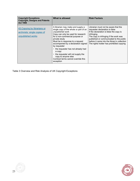| <b>Copyright Exceptions</b><br><b>Copyright, Designs and Patents</b><br><b>Act 1988</b> | What is allowed                                                                                                                                                                                                                                                                                                                                                                                                                                       | <b>Risk Factors</b>                                                                                                                                                                                                                                                                                               |
|-----------------------------------------------------------------------------------------|-------------------------------------------------------------------------------------------------------------------------------------------------------------------------------------------------------------------------------------------------------------------------------------------------------------------------------------------------------------------------------------------------------------------------------------------------------|-------------------------------------------------------------------------------------------------------------------------------------------------------------------------------------------------------------------------------------------------------------------------------------------------------------------|
| 43. Copying by librarians or<br>archivists: single copies of<br>unpublished works       | A librarian may make and supply a<br>single copy of the whole or part of an<br>unpublished work<br>Copy can only be used for research<br>for a non-commercial purpose or<br>private study<br>Must be in response to a request<br>accompanied by a declaration signed<br>by requester<br>- the requester has not already had<br>a copy<br>the requester will not supply the<br>copy to anyone else<br>Contract terms cannot override this<br>exception | Librarian must not be aware that the<br>requester declaration is false<br>If the declaration is false the copy is<br>infringing.<br>The copy is infringing if the work was<br>published or communicated to the public<br>before it came into the library's collection<br>The rights holder has prohibited copying |

Table 3 Overview and Risk Analysis of UK Copyright Exceptions



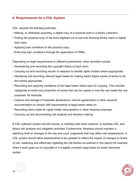# **6. Requirements for a CDL System**

CDL requires the following activities:

- Making, or otherwise acquiring, a digital copy of a physical work in a library collection;
- Putting the physical copy of the work digitised out of use and directing library users to digital loan copy;
- Applying loan conditions to the physical copy;
- Enforcing loan conditions through the application of TPMs.

Depending on legal requirements in different jurisdictions, other activities include:

- Ascertaining and recording the copyright status of each work;
- Carrying out and recording results of research to identify rights holders where appropriate;
- Identifying and recording relevant legal bases for making lawful digital copies of works to be lent where appropriate;
- Recording and applying conditions of the legal bases relied upon for copying. This includes categories of works and proportion of works that can be copied or how the use meets fair use purposes, for example;
- Capture and storage of requester declarations, licence agreements or other required; documentation to comply with requirements of legal bases relied on;
- Recording loans made for rights holder remuneration or other required purposes;
- Carrying out and documenting risk analysis and decision making.

A CDL software system should include, or interface with other systems, to facilitate CDL and library risk analysis and mitigation activities. Furthermore, librarians should maintain a watching brief on changes to the law and court judgments that may affect risk assessments. A CDL system should allow assessments to be updated to reflect the impact of changes to levels of risk, (selecting and effectively ingesting the risk factors as outlined in this report) for example when a work goes out of copyright or if a legally uncertain legal basis for action becomes certain.



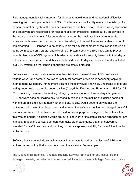Risk management is vitally important for libraries to avoid legal and reputational difficulties resulting from the implementation of CDL. The term vicarious liability refers to the liability of a person (natural or legal) for the acts or omissions of another person. Libraries as legal persons and employers are responsible for negligent acts (or omissions) carried out by employees in the course of employment. A lot depends on whether the employer has control over the activities, authorises them or directs them. Knowledge of unlawful activities is also a factor. In implementing CDL, libraries are potentially liable for any infringement of the law so should be doing so in based on a careful analysis of risk. System security is also important to prevent unauthorised use of CDL systems. Libraries already deal with security issues with their digital collections access systems and this should be extended to digitised copies of works included in a CDL system, so that lending conditions are strictly enforced.

Software vendors and hosts can reduce their liability for unlawful use of CDL software in various ways. One potential source of liability for software providers is secondary copyright infringement. Secondary infringement occurs if those involved knowingly undertake or facilitate infringement. As an example, under UK law (Copyright, Designs and Patents Act 1998 (ss. 22- 26)), providing the means for making infringing copies is a form of secondary infringement. If CDL software does not include any functionality relating to the making of digitised copies of works then this is unlikely to apply. Even if it did, liability would depend on whether the software could have other, legal uses, and whether the software provider encouraged unlawful use in some way. CDL software can be used for lawful purposes: if a jurisdiction's law allow this type of lending, if digitised works are out of copyright or if suitable licence arrangement are in place. In addition, software vendors can make clear statements that their software is intended for lawful user only and that they do not accept responsibility for unlawful actions by software users.

Software hosts can include suitable clauses in contracts to address the issue of liability for actions carried out by their customers using the software. For example:

The [Client] shall indemnify, and hold [Hosting Service] harmless for any losses, claims, damages, awards, penalties, or injuries incurred, including reasonable legal fees, which arise



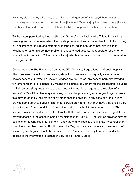from any claim by any third party of an alleged infringement of any copyright or any other proprietary right arising out of the use of the [Licensed Materials] by the [Client] or any [User}, whether authorised or not. No limitation of liability is applicable to this indemnification.

To the extent permitted by law, the [Hosting Service] is not liable to the [Client] for any loss resulting from a cause over which the [Hosting Service] does not have direct control, including but not limited to, failure of electronic or mechanical equipment or communication lines, telephone or other interconnect problems, unauthorised access, theft, operator errors, or for any actions taken by the [Client] or any [User], whether authorised or not, that are deemed to be illegal by a Court.

Conceivably, the The Electronic Commerce (EC Directive) Regulations 2002 could apply in The European Union if CDL software system if CDL software hosts qualify as information society services. Information Society Services are defined as 'any service normally provided for remuneration, at a distance, by means of electronic equipment for the processing (including digital compression) and storage of data, and at the individual request of a recipient of a service' (s. 2). CDL software systems may not involve processing or storage of digitised works, this may be done by the libraries or by other hosting services. In any case, the Regulations provide some defences against liability for service providers. They may have a defence if they are acting as a 'mere conduit', or transmitting data, or cache information temporarily. The service provider should not actively interact with the data, and in the case of caching, delete or prevent access to the cache in some circumstances (s.  $18(b)(v)$ ). The service provider may not be liable for hosting customer content if unaware of any illegality and if it has no control over what the subscriber does (s. 19). However, the Regulations state that once in possession of knowledge of illegal material, the service provider 'acts expeditiously to remove or disable access to the information' (Regulations ss. 18(b)(v) and 19(a)(ii).



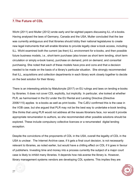# **7.The Future of CDL**

Wicht (2011) and Muller (2012) wrote early and far-sighted papers discussing ILL of e-books. Having analysed the laws of Germany, Canada and the USA, Muller concluded that the law was currently ambiguous and that libraries should lobby their national legislatures to create new legal instruments that will enable libraries to provide legally clear e-book access, including ILL. Wicht examined both the current (as then) ILL environment for e-books, and then possible future business models, i.e., short-term purchase (also known as short term lending, short term circulation or simply e-book loans), purchase on demand, print on demand, and consortial purchasing. She noted that each of these models have pros and cons and that a decision needed to be made on the basis of a library's particular situation. She strongly recommended that ILL, acquisitions and collection departments in each library work closely together to decide on the best solution for their library.

There is an interesting article by Matulionyte (2017) on EU rulings and laws on lending e-books by libraries. It does not cover CDL explicitly, but implicitly. In particular, she looked at whether PLR, as harmonised in the EU under the EU Rental and Lending Directive (Directive 2006/115) applies to e-books as well as print books. The CJEU confirmed this is the case in the VOB case, but she argued that PLR may not be the best way to undertake e-book lending. She thinks that using PLR would not address all the issues librarians face, nor would it provide appropriate renumeration to authors, so she recommended other possible solutions should be explored. These include compulsory collective licences or a renumerated digital lending exception.

Despite the convictions of the proponents of CDL in the USA, overall the legality of CDL in the USA is unclear. The Internet Archive case, if it gets a final court decision, is not necessarily relevant to libraries, as noted earlier, but would have a chilling effect on CDL if it goes in favour of publishers. Investing time and money into a process currently the subject of a major court case is likely to inhibit many libraries. It depends how risk-averse the library is. However, library management systems vendors are developing CDL systems. This implies they are



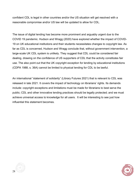confident CDL is legal in other countries and/or the US situation will get resolved with a reasonable compromise and/or US law will be updated to allow for CDL.

The issue of digital lending has become more prominent and arguably urgent due to the COVID 19 pandemic. Hudson and Wragg (2020) have explored whether the impact of COVID-19 on UK educational institutions and their students necessitates changes to copyright law. As far as CDL is concerned, Hudson and Wragg conclude that, without government intervention, a large-scale UK CDL system is unlikely. They suggest that CDL could be considered fair dealing, drawing on the confidence of US supporters of CDL that the activity constitutes fair use. The also point out that the UK copyright exception for lending by educational institutions (CDPA 1988, s. 36A) cannot be limited to physical lending for CDL to be lawful.

An international "statement of solidarity" (Library Futures 2021) that is relevant to CDL was released in late 2021. It covers the impact of technology on librarians' rights. Its demands include: copyright exceptions and limitations must be made for librarians to best serve the public; CDL and other innovative lending practices should be legally protected; and we must achieve universal access to knowledge for all users. It will be interesting to see just how influential this statement becomes.



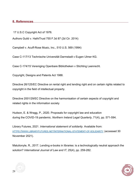**8. References**

17 U.S.C Copyright Act of 1976.

Authors Guild v. HathiTrust 755 F.3d 87 (2d Cir. 2014)

Campbell v. Acuff-Rose Music, Inc., 510 U.S. 569 (1994)

Case C-117/13 Technische Universität Darmstadt v Eugen Ulmer KG.

Case C-174/15 Vereniging Openbare Bibliotheken v Stichting Leenrecht.

Copyright, Designs and Patents Act 1988.

Directive 26/125/EC Directive on rental right and lending right and on certain rights related to copyright in the field of intellectual property.

Directive 2001/29/EC Directive on the harmonisation of certain aspects of copyright and related rights in the information society

Hudson, E. & Wragg, P., 2020. Proposals for copyright law and education during the COVID-19 pandemic. *Northern Ireland Legal Quarterly*, 71(4), pp. 571-594.

Library Futures, 2021. *International statement of solidarity.* Available from: HTTPS://WWW.LIBRARYFUTURES.NET/INTERNATIONAL-STATEMENT-OF-SOLIDARITY (accessed 30 November 2021).

Matulionyte, R., 2017. Lending e-books in libraries: is a technologically neutral approach the solution? *International Journal of Law and IT*, 25(4), pp. 259-282.